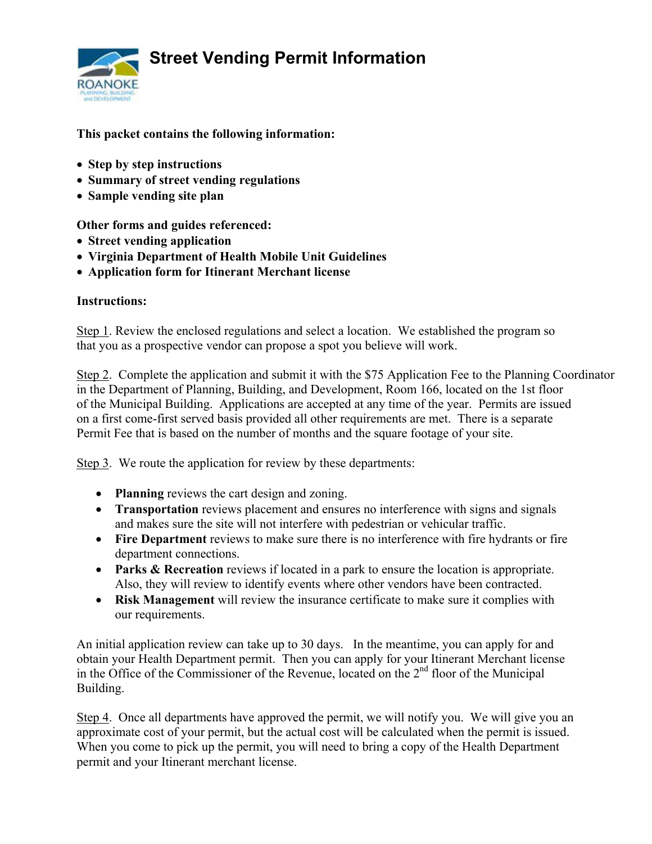**Street Vending Permit Information** 



### **This packet contains the following information:**

- **Step by step instructions**
- **Summary of street vending regulations**
- **Sample vending site plan**

**Other forms and guides referenced:** 

- **Street vending application**
- **Virginia Department of Health Mobile Unit Guidelines**
- **Application form for Itinerant Merchant license**

#### **Instructions:**

Step 1. Review the enclosed regulations and select a location. We established the program so that you as a prospective vendor can propose a spot you believe will work.

Step 2. Complete the application and submit it with the \$75 Application Fee to the Planning Coordinator in the Department of Planning, Building, and Development, Room 166, located on the 1st floor of the Municipal Building. Applications are accepted at any time of the year. Permits are issued on a first come-first served basis provided all other requirements are met. There is a separate Permit Fee that is based on the number of months and the square footage of your site.

Step 3. We route the application for review by these departments:

- **Planning** reviews the cart design and zoning.
- **Transportation** reviews placement and ensures no interference with signs and signals and makes sure the site will not interfere with pedestrian or vehicular traffic.
- **Fire Department** reviews to make sure there is no interference with fire hydrants or fire department connections.
- **Parks & Recreation** reviews if located in a park to ensure the location is appropriate. Also, they will review to identify events where other vendors have been contracted.
- **Risk Management** will review the insurance certificate to make sure it complies with our requirements.

An initial application review can take up to 30 days. In the meantime, you can apply for and obtain your Health Department permit. Then you can apply for your Itinerant Merchant license in the Office of the Commissioner of the Revenue, located on the  $2<sup>nd</sup>$  floor of the Municipal Building.

Step 4. Once all departments have approved the permit, we will notify you. We will give you an approximate cost of your permit, but the actual cost will be calculated when the permit is issued. When you come to pick up the permit, you will need to bring a copy of the Health Department permit and your Itinerant merchant license.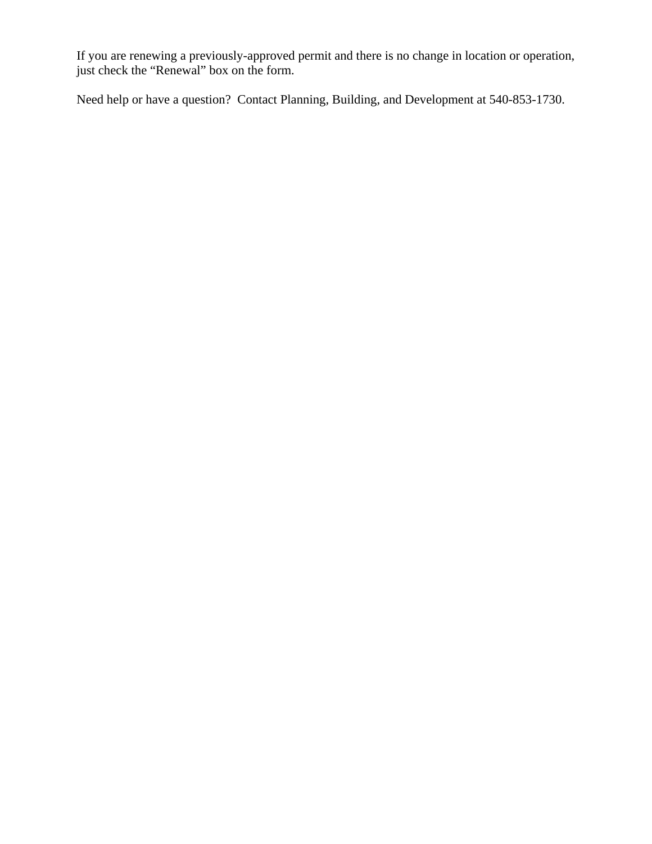If you are renewing a previously-approved permit and there is no change in location or operation, just check the "Renewal" box on the form.

Need help or have a question? Contact Planning, Building, and Development at 540-853-1730.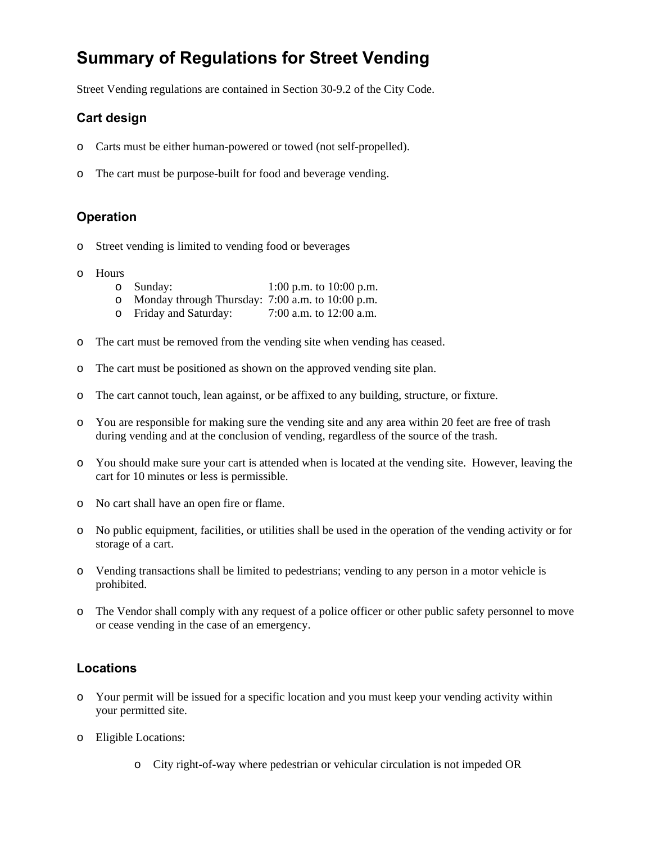## **Summary of Regulations for Street Vending**

Street Vending regulations are contained in Section 30-9.2 of the City Code.

### **Cart design**

- o Carts must be either human-powered or towed (not self-propelled).
- o The cart must be purpose-built for food and beverage vending.

#### **Operation**

- o Street vending is limited to vending food or beverages
- o Hours
	- o Sunday: 1:00 p.m. to 10:00 p.m.
	- o Monday through Thursday: 7:00 a.m. to 10:00 p.m.<br>
	o Friday and Saturday: 7:00 a.m. to 12:00 a.m.
	- o Friday and Saturday:
- o The cart must be removed from the vending site when vending has ceased.
- o The cart must be positioned as shown on the approved vending site plan.
- o The cart cannot touch, lean against, or be affixed to any building, structure, or fixture.
- o You are responsible for making sure the vending site and any area within 20 feet are free of trash during vending and at the conclusion of vending, regardless of the source of the trash.
- o You should make sure your cart is attended when is located at the vending site. However, leaving the cart for 10 minutes or less is permissible.
- o No cart shall have an open fire or flame.
- o No public equipment, facilities, or utilities shall be used in the operation of the vending activity or for storage of a cart.
- o Vending transactions shall be limited to pedestrians; vending to any person in a motor vehicle is prohibited.
- o The Vendor shall comply with any request of a police officer or other public safety personnel to move or cease vending in the case of an emergency.

#### **Locations**

- o Your permit will be issued for a specific location and you must keep your vending activity within your permitted site.
- o Eligible Locations:
	- o City right-of-way where pedestrian or vehicular circulation is not impeded OR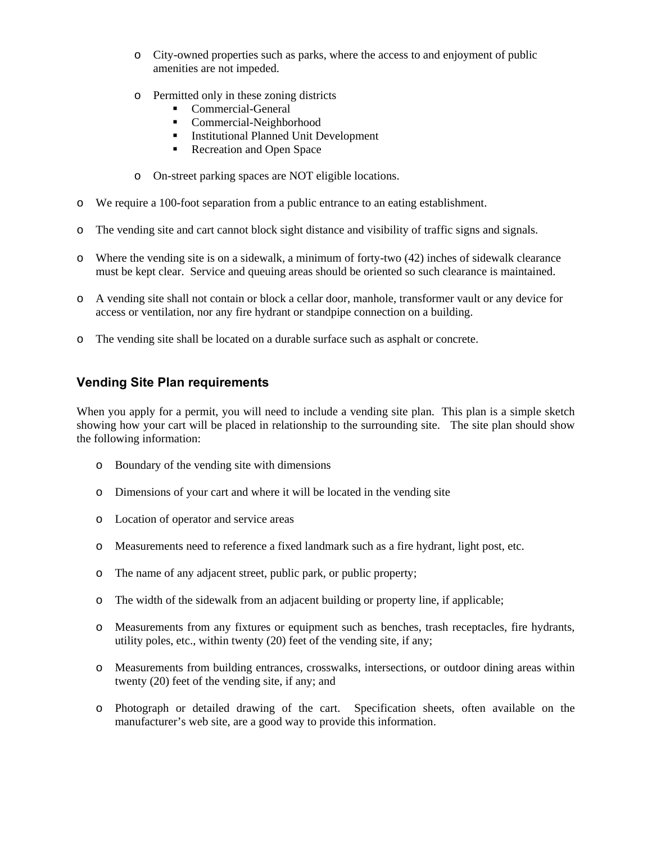- o City-owned properties such as parks, where the access to and enjoyment of public amenities are not impeded.
- o Permitted only in these zoning districts
	- Commercial-General
	- Commercial-Neighborhood
	- **Institutional Planned Unit Development**
	- Recreation and Open Space
- o On-street parking spaces are NOT eligible locations.
- o We require a 100-foot separation from a public entrance to an eating establishment.
- o The vending site and cart cannot block sight distance and visibility of traffic signs and signals.
- o Where the vending site is on a sidewalk, a minimum of forty-two (42) inches of sidewalk clearance must be kept clear. Service and queuing areas should be oriented so such clearance is maintained.
- o A vending site shall not contain or block a cellar door, manhole, transformer vault or any device for access or ventilation, nor any fire hydrant or standpipe connection on a building.
- o The vending site shall be located on a durable surface such as asphalt or concrete.

#### **Vending Site Plan requirements**

When you apply for a permit, you will need to include a vending site plan. This plan is a simple sketch showing how your cart will be placed in relationship to the surrounding site. The site plan should show the following information:

- o Boundary of the vending site with dimensions
- o Dimensions of your cart and where it will be located in the vending site
- o Location of operator and service areas
- o Measurements need to reference a fixed landmark such as a fire hydrant, light post, etc.
- o The name of any adjacent street, public park, or public property;
- o The width of the sidewalk from an adjacent building or property line, if applicable;
- o Measurements from any fixtures or equipment such as benches, trash receptacles, fire hydrants, utility poles, etc., within twenty (20) feet of the vending site, if any;
- o Measurements from building entrances, crosswalks, intersections, or outdoor dining areas within twenty (20) feet of the vending site, if any; and
- o Photograph or detailed drawing of the cart. Specification sheets, often available on the manufacturer's web site, are a good way to provide this information.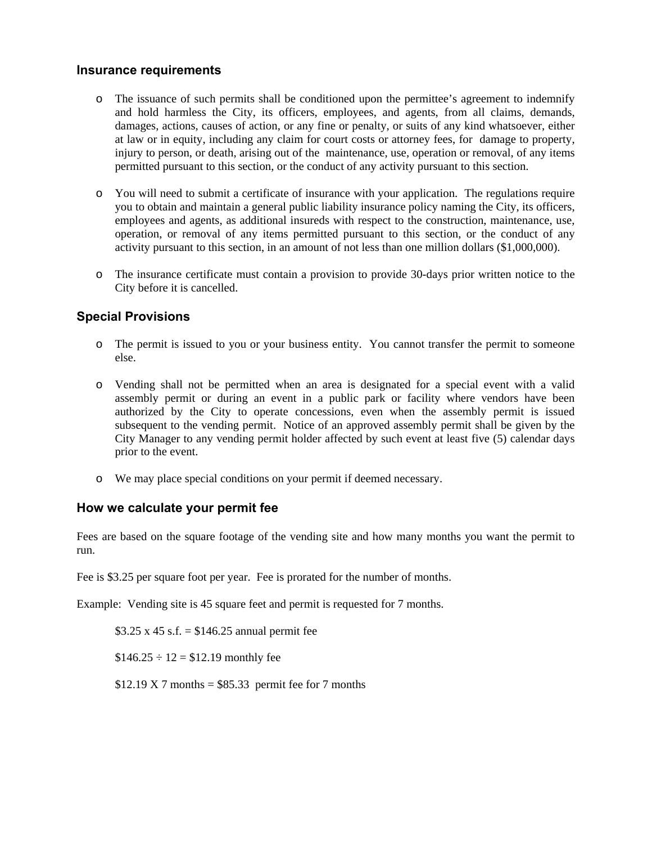#### **Insurance requirements**

- o The issuance of such permits shall be conditioned upon the permittee's agreement to indemnify and hold harmless the City, its officers, employees, and agents, from all claims, demands, damages, actions, causes of action, or any fine or penalty, or suits of any kind whatsoever, either at law or in equity, including any claim for court costs or attorney fees, for damage to property, injury to person, or death, arising out of the maintenance, use, operation or removal, of any items permitted pursuant to this section, or the conduct of any activity pursuant to this section.
- o You will need to submit a certificate of insurance with your application. The regulations require you to obtain and maintain a general public liability insurance policy naming the City, its officers, employees and agents, as additional insureds with respect to the construction, maintenance, use, operation, or removal of any items permitted pursuant to this section, or the conduct of any activity pursuant to this section, in an amount of not less than one million dollars (\$1,000,000).
- o The insurance certificate must contain a provision to provide 30-days prior written notice to the City before it is cancelled.

#### **Special Provisions**

- o The permit is issued to you or your business entity. You cannot transfer the permit to someone else.
- o Vending shall not be permitted when an area is designated for a special event with a valid assembly permit or during an event in a public park or facility where vendors have been authorized by the City to operate concessions, even when the assembly permit is issued subsequent to the vending permit. Notice of an approved assembly permit shall be given by the City Manager to any vending permit holder affected by such event at least five (5) calendar days prior to the event.
- o We may place special conditions on your permit if deemed necessary.

#### **How we calculate your permit fee**

Fees are based on the square footage of the vending site and how many months you want the permit to run.

Fee is \$3.25 per square foot per year. Fee is prorated for the number of months.

Example: Vending site is 45 square feet and permit is requested for 7 months.

 $$3.25 \times 45 \text{ s.f.} = $146.25 \text{ annual permit fee}$ 

 $$146.25 \div 12 = $12.19$  monthly fee

 $$12.19 \text{ X } 7 \text{ months} = $85.33 \text{ permit fee for } 7 \text{ months}$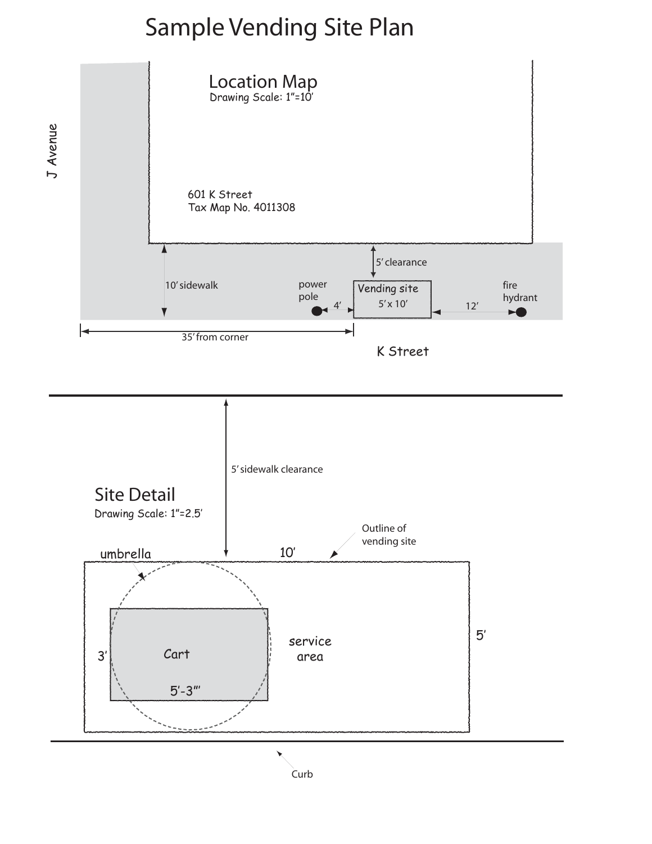# Sample Vending Site Plan





**Curb**